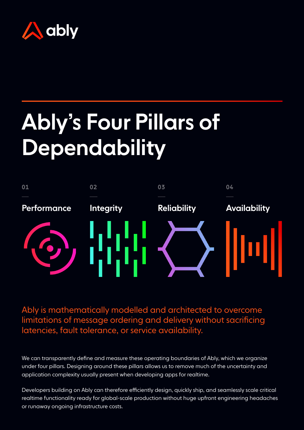

# Ably's Four Pillars of Dependability



Ably is mathematically modelled and architected to overcome limitations of message ordering and delivery without sacrificing latencies, fault tolerance, or service availability.

We can transparently define and measure these operating boundaries of Ably, which we organize under four pillars. Designing around these pillars allows us to remove much of the uncertainty and application complexity usually present when developing apps for realtime.

Developers building on Ably can therefore efficiently design, quickly ship, and seamlessly scale critical realtime functionality ready for global-scale production without huge upfront engineering headaches or runaway ongoing infrastructure costs.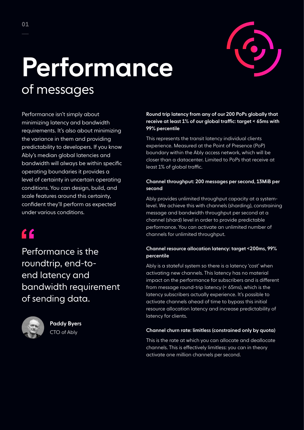

## Performance of messages

Performance isn't simply about minimizing latency and bandwidth requirements. It's also about minimizing the variance in them and providing predictability to developers. If you know Ably's median global latencies and bandwidth will always be within specific operating boundaries it provides a level of certainty in uncertain operating conditions. You can design, build, and scale features around this certainty, confident they'll perform as expected under various conditions.

### $f$

Performance is the roundtrip, end-toend latency and bandwidth requirement of sending data.



Paddy Byers CTO of Ably

#### Round trip latency from any of our 200 PoPs globally that receive at least 1% of our global traffic: target < 65ms with 99% percentile

This represents the transit latency individual clients experience. Measured at the Point of Presence (PoP) boundary within the Ably access network, which will be closer than a datacenter. Limited to PoPs that receive at least 1% of global traffic.

#### Channel throughput: 200 messages per second, 13MiB per second

Ably provides unlimited throughput capacity at a systemlevel. We achieve this with channels (sharding), constraining message and bandwidth throughput per second at a channel (shard) level in order to provide predictable performance. You can activate an unlimited number of channels for unlimited throughput.

#### Channel resource allocation latency: target <200ms, 99% percentile

Ably is a stateful system so there is a latency 'cost' when activating new channels. This latency has no material impact on the performance for subscribers and is different from message round-trip latency (< 65ms), which is the latency subscribers actually experience. It's possible to activate channels ahead of time to bypass this initial resource allocation latency and increase predictability of latency for clients.

#### Channel churn rate: limitless (constrained only by quota)

This is the rate at which you can allocate and deallocate channels. This is effectively limitless: you can in theory activate one million channels per second.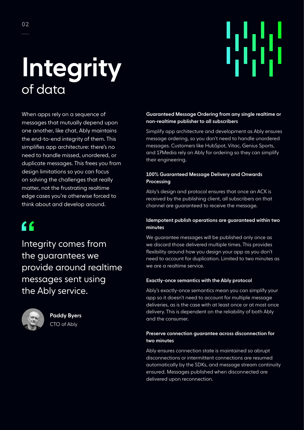# Integrity of data

When apps rely on a sequence of messages that mutually depend upon one another, like chat, Ably maintains the end-to-end integrity of them. This simplifies app architecture: there's no need to handle missed, unordered, or duplicate messages. This frees you from design limitations so you can focus on solving the challenges that really matter, not the frustrating realtime edge cases you're otherwise forced to think about and develop around.

## $\epsilon$

Integrity comes from the guarantees we provide around realtime messages sent using the Ably service.



Paddy Byers CTO of Ably

#### Guaranteed Message Ordering from any single realtime or non-realtime publisher to all subscribers

55

Simplify app architecture and development as Ably ensures message ordering, so you don't need to handle unordered messages. Customers like HubSpot, Vitac, Genius Sports, and 17Media rely on Ably for ordering so they can simplify their engineering.

#### 100% Guaranteed Message Delivery and Onwards Processing

Ably's design and protocol ensures that once an ACK is received by the publishing client, all subscribers on that channel are guaranteed to receive the message.

#### Idempotent publish operations are guaranteed within two minutes

We guarantee messages will be published only once as we discard those delivered multiple times. This provides flexibility around how you design your app as you don't need to account for duplication. Limited to two minutes as we are a realtime service.

#### Exactly-once semantics with the Ably protocol

Ably's exactly-once semantics mean you can simplify your app so it doesn't need to account for multiple message deliveries, as is the case with at least once or at most once delivery. This is dependent on the reliability of both Ably and the consumer.

#### Preserve connection guarantee across disconnection for two minutes

Ably ensures connection state is maintained so abrupt disconnections or intermittent connections are resumed automatically by the SDKs, and message stream continuity ensured. Messages published when disconnected are delivered upon reconnection.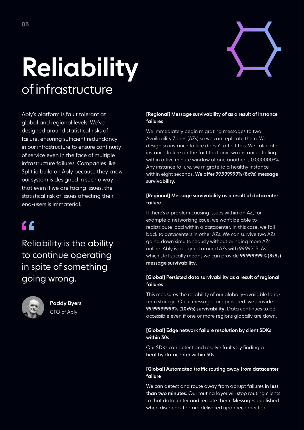

# Reliability of infrastructure

Ably's platform is fault tolerant at global and regional levels. We've designed around statistical risks of failure, ensuring sufficient redundancy in our infrastructure to ensure continuity of service even in the face of multiple infrastructure failures. Companies like Split.io build on Ably because they know our system is designed in such a way that even if we are facing issues, the statistical risk of issues affecting their end-users is immaterial.

## $\epsilon$

Reliability is the ability to continue operating in spite of something going wrong.



Paddy Byers CTO of Ably

#### [Regional] Message survivability of as a result of instance failures

We immediately begin migrating messages to two Availability Zones (AZs) so we can replicate them. We design so instance failure doesn't affect this. We calculate instance failure on the fact that any two instances failing within a five minute window of one another is 0.0000007%. Any instance failure, we migrate to a healthy instance within eight seconds. We offer 99.999999% (8x9s) message survivability.

#### [Regional] Message survivability as a result of datacenter failure

If there's a problem causing issues within an AZ, for example a networking issue, we won't be able to redistribute load within a datacenter. In this case, we fall back to datacenters in other AZs. We can survive two AZs going down simultaneously without bringing more AZs online. Ably is designed around AZs with 99.99% SLAs, which statistically means we can provide 99.999999% (8x9s) message survivability.

#### [Global] Persisted data survivability as a result of regional failures

This measures the reliability of our globally-available longterm storage. Once messages are persisted, we provide 99.99999999% (10x9s) survivability. Data continues to be accessible even if one or more regions globally are down.

#### [Global] Edge network failure resolution by client SDKs within 30s

Our SDKs can detect and resolve faults by finding a healthy datacenter within 30s.

#### [Global] Automated traffic routing away from datacenter failure

We can detect and route away from abrupt failures in less than two minutes. Our routing layer will stop routing clients to that datacenter and reroute them. Messages published when disconnected are delivered upon reconnection.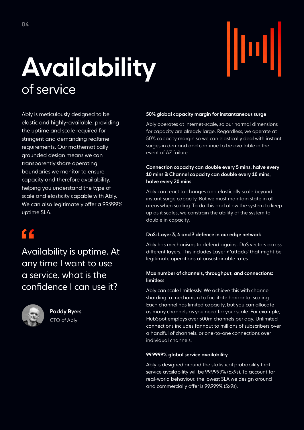## Availability of service

Ably is meticulously designed to be elastic and highly-available, providing the uptime and scale required for stringent and demanding realtime requirements. Our mathematically grounded design means we can transparently share operating boundaries we monitor to ensure capacity and therefore availability, helping you understand the type of scale and elasticity capable with Ably. We can also legitimately offer a 99.999% uptime SLA.

### $\epsilon$

Availability is uptime. At any time I want to use a service, what is the confidence I can use it?



Paddy Byers CTO of Ably

#### 50% global capacity margin for instantaneous surge

Ably operates at internet-scale, so our normal dimensions for capacity are already large. Regardless, we operate at 50% capacity margin so we can elastically deal with instant surges in demand and continue to be available in the event of AZ failure.

#### Connection capacity can double every 5 mins, halve every 10 mins & Channel capacity can double every 10 mins, halve every 20 mins

Ably can react to changes and elastically scale beyond instant surge capacity. But we must maintain state in all areas when scaling. To do this and allow the system to keep up as it scales, we constrain the ability of the system to double in capacity.

#### DoS: Layer 3, 4 and 7 defence in our edge network

Ably has mechanisms to defend against DoS vectors across different layers. This includes Layer 7 'attacks' that might be legitimate operations at unsustainable rates.

#### Max number of channels, throughput, and connections: limitless

Ably can scale limitlessly. We achieve this with channel sharding, a mechanism to facilitate horizontal scaling. Each channel has limited capacity, but you can allocate as many channels as you need for your scale. For example, HubSpot employs over 500m channels per day. Unlimited connections includes fannout to millions of subscribers over a handful of channels, or one-to-one connections over individual channels.

#### 99.9999% global service availability

Ably is designed around the statistical probability that service availability will be 99.9999% (6x9s). To account for real-world behaviour, the lowest SLA we design around and commercially offer is 99.999% (5x9s).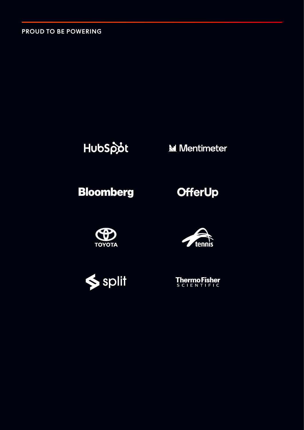PROUD TO BE POWERING

### HubSpot

**M** Mentimeter

### **Bloomberg**









**ThermoFisher**<br>SCLENTIFIC